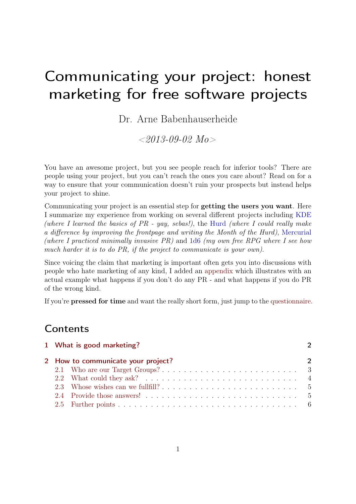# Communicating your project: honest marketing for free software projects

Dr. Arne Babenhauserheide

 $\langle 2013-09-02 \; M_0 \rangle$ 

You have an awesome project, but you see people reach for inferior tools? There are people using your project, but you can't reach the ones you care about? Read on for a way to ensure that your communication doesn't ruin your prospects but instead helps your project to shine.

Communicating your project is an essential step for getting the users you want. Here I summarize my experience from working on several different projects including [KDE](http://kde.org) (where I learned the basics of  $PR$  - yay, sebas!), the [Hurd](http://hurd.gnu.org) (where I could really make a difference by improving the frontpage and writing the Month of the Hurd), [Mercurial](http://mercurial.selenic.com) (where I practiced minimally invasive  $PR$ ) and [1d6](http://1w6.org/english/flyerbook-rules) (my own free RPG where I see how much harder it is to do PR, if the project to communicate is your own).

Since voicing the claim that marketing is important often gets you into discussions with people who hate marketing of any kind, I added an [appendix](#page-9-0) which illustrates with an actual example what happens if you don't do any PR - and what happens if you do PR of the wrong kind.

If you're pressed for time and want the really short form, just jump to the [questionnaire.](#page-7-0)

### **Contents**

|  | 1 What is good marketing?          | $\mathcal{P}$ |
|--|------------------------------------|---------------|
|  | 2 How to communicate your project? | $\mathcal{P}$ |
|  |                                    |               |
|  |                                    |               |
|  |                                    |               |
|  |                                    |               |
|  |                                    |               |
|  |                                    |               |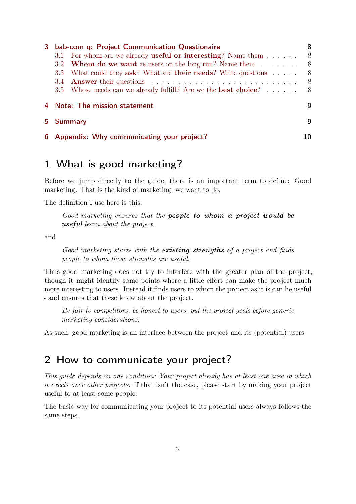| 3 | bab-com q: Project Communication Questionaire                                | 8   |
|---|------------------------------------------------------------------------------|-----|
|   | 3.1 For whom are we already <b>useful or interesting</b> ? Name them $\dots$ | - 8 |
|   | 3.2 <b>Whom do we want</b> as users on the long run? Name them $\dots \dots$ | - 8 |
|   | 3.3 What could they ask? What are their needs? Write questions               | 8   |
|   |                                                                              | - 8 |
|   | 3.5 Whose needs can we already fulfill? Are we the <b>best choice</b> ? 8    |     |
|   | 4 Note: The mission statement                                                | q   |
|   | 5 Summary                                                                    | q   |
|   | 6 Appendix: Why communicating your project?                                  | 10  |

# <span id="page-1-0"></span>1 What is good marketing?

Before we jump directly to the guide, there is an important term to define: Good marketing. That is the kind of marketing, we want to do.

The definition I use here is this:

Good marketing ensures that the people to whom a project would be useful learn about the project.

and

Good marketing starts with the existing strengths of a project and finds people to whom these strengths are useful.

Thus good marketing does not try to interfere with the greater plan of the project, though it might identify some points where a little effort can make the project much more interesting to users. Instead it finds users to whom the project as it is can be useful - and ensures that these know about the project.

Be fair to competitors, be honest to users, put the project goals before generic marketing considerations.

As such, good marketing is an interface between the project and its (potential) users.

# <span id="page-1-1"></span>2 How to communicate your project?

This guide depends on one condition: Your project already has at least one area in which it excels over other projects. If that isn't the case, please start by making your project useful to at least some people.

The basic way for communicating your project to its potential users always follows the same steps.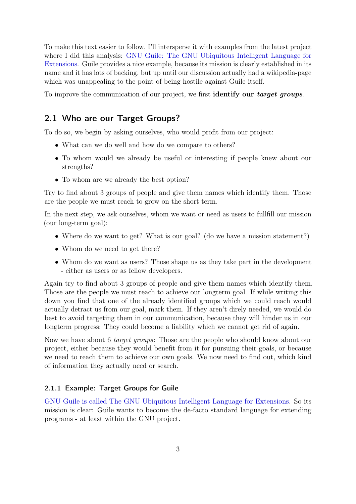To make this text easier to follow, I'll intersperse it with examples from the latest project where I did this analysis: [GNU Guile: The GNU Ubiquitous Intelligent Language for](http://www.gnu.org/software/guile/) [Extensions.](http://www.gnu.org/software/guile/) Guile provides a nice example, because its mission is clearly established in its name and it has lots of backing, but up until our discussion actually had a wikipedia-page which was unappealing to the point of being hostile against Guile itself.

To improve the communication of our project, we first **identify our target groups**.

#### <span id="page-2-0"></span>2.1 Who are our Target Groups?

To do so, we begin by asking ourselves, who would profit from our project:

- What can we do well and how do we compare to others?
- To whom would we already be useful or interesting if people knew about our strengths?
- To whom are we already the best option?

Try to find about 3 groups of people and give them names which identify them. Those are the people we must reach to grow on the short term.

In the next step, we ask ourselves, whom we want or need as users to fullfill our mission (our long-term goal):

- Where do we want to get? What is our goal? (do we have a mission statement?)
- Whom do we need to get there?
- Whom do we want as users? Those shape us as they take part in the development - either as users or as fellow developers.

Again try to find about 3 groups of people and give them names which identify them. Those are the people we must reach to achieve our longterm goal. If while writing this down you find that one of the already identified groups which we could reach would actually detract us from our goal, mark them. If they aren't direly needed, we would do best to avoid targeting them in our communication, because they will hinder us in our longterm progress: They could become a liability which we cannot get rid of again.

Now we have about 6 target groups: Those are the people who should know about our project, either because they would benefit from it for pursuing their goals, or because we need to reach them to achieve our own goals. We now need to find out, which kind of information they actually need or search.

#### 2.1.1 Example: Target Groups for Guile

[GNU Guile is called The GNU Ubiquitous Intelligent Language for Extensions.](http://www.gnu.org/software/guile/) So its mission is clear: Guile wants to become the de-facto standard language for extending programs - at least within the GNU project.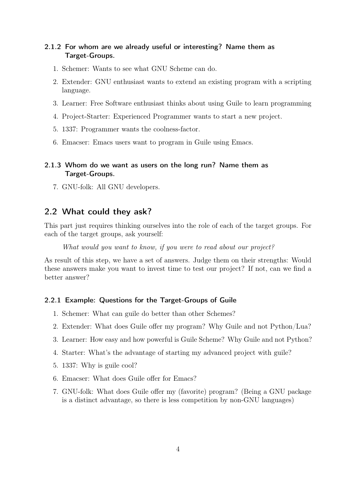#### 2.1.2 For whom are we already useful or interesting? Name them as Target-Groups.

- 1. Schemer: Wants to see what GNU Scheme can do.
- 2. Extender: GNU enthusiast wants to extend an existing program with a scripting language.
- 3. Learner: Free Software enthusiast thinks about using Guile to learn programming
- 4. Project-Starter: Experienced Programmer wants to start a new project.
- 5. 1337: Programmer wants the coolness-factor.
- 6. Emacser: Emacs users want to program in Guile using Emacs.

#### 2.1.3 Whom do we want as users on the long run? Name them as Target-Groups.

7. GNU-folk: All GNU developers.

#### <span id="page-3-0"></span>2.2 What could they ask?

This part just requires thinking ourselves into the role of each of the target groups. For each of the target groups, ask yourself:

What would you want to know, if you were to read about our project?

As result of this step, we have a set of answers. Judge them on their strengths: Would these answers make you want to invest time to test our project? If not, can we find a better answer?

#### 2.2.1 Example: Questions for the Target-Groups of Guile

- 1. Schemer: What can guile do better than other Schemes?
- 2. Extender: What does Guile offer my program? Why Guile and not Python/Lua?
- 3. Learner: How easy and how powerful is Guile Scheme? Why Guile and not Python?
- 4. Starter: What's the advantage of starting my advanced project with guile?
- 5. 1337: Why is guile cool?
- 6. Emacser: What does Guile offer for Emacs?
- 7. GNU-folk: What does Guile offer my (favorite) program? (Being a GNU package is a distinct advantage, so there is less competition by non-GNU languages)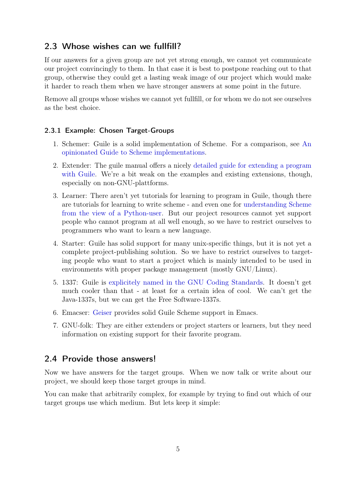#### <span id="page-4-0"></span>2.3 Whose wishes can we fullfill?

If our answers for a given group are not yet strong enough, we cannot yet communicate our project convincingly to them. In that case it is best to postpone reaching out to that group, otherwise they could get a lasting weak image of our project which would make it harder to reach them when we have stronger answers at some point in the future.

Remove all groups whose wishes we cannot yet fullfill, or for whom we do not see ourselves as the best choice.

#### 2.3.1 Example: Chosen Target-Groups

- 1. Schemer: Guile is a solid implementation of Scheme. For a comparison, see [An](http://wingolog.org/archives/2013/01/07/an-opinionated-guide-to-scheme-implementations) [opinionated Guide to Scheme implementations.](http://wingolog.org/archives/2013/01/07/an-opinionated-guide-to-scheme-implementations)
- 2. Extender: The guile manual offers a nicely [detailed guide for extending a program](http://www.gnu.org/software/guile/manual/guile.html#Programming-in-C) [with Guile.](http://www.gnu.org/software/guile/manual/guile.html#Programming-in-C) We're a bit weak on the examples and existing extensions, though, especially on non-GNU-plattforms.
- 3. Learner: There aren't yet tutorials for learning to program in Guile, though there are tutorials for learning to write scheme - and even one for [understanding Scheme](http://phyast.pitt.edu/~micheles/scheme/) [from the view of a Python-user.](http://phyast.pitt.edu/~micheles/scheme/) But our project resources cannot yet support people who cannot program at all well enough, so we have to restrict ourselves to programmers who want to learn a new language.
- 4. Starter: Guile has solid support for many unix-specific things, but it is not yet a complete project-publishing solution. So we have to restrict ourselves to targeting people who want to start a project which is mainly intended to be used in environments with proper package management (mostly GNU/Linux).
- 5. 1337: Guile is [explicitely named in the GNU Coding Standards.](http://www.gnu.org/prep/standards/standards.html#Source-Language) It doesn't get much cooler than that - at least for a certain idea of cool. We can't get the Java-1337s, but we can get the Free Software-1337s.
- 6. Emacser: [Geiser](http://www.nongnu.org/geiser/) provides solid Guile Scheme support in Emacs.
- 7. GNU-folk: They are either extenders or project starters or learners, but they need information on existing support for their favorite program.

#### <span id="page-4-1"></span>2.4 Provide those answers!

Now we have answers for the target groups. When we now talk or write about our project, we should keep those target groups in mind.

You can make that arbitrarily complex, for example by trying to find out which of our target groups use which medium. But lets keep it simple: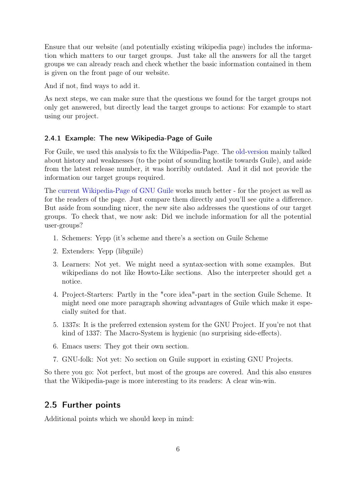Ensure that our website (and potentially existing wikipedia page) includes the information which matters to our target groups. Just take all the answers for all the target groups we can already reach and check whether the basic information contained in them is given on the front page of our website.

And if not, find ways to add it.

As next steps, we can make sure that the questions we found for the target groups not only get answered, but directly lead the target groups to actions: For example to start using our project.

#### 2.4.1 Example: The new Wikipedia-Page of Guile

For Guile, we used this analysis to fix the Wikipedia-Page. The [old-version](http://en.wikipedia.org/w/index.php?title=GNU_Guile&oldid=564014065) mainly talked about history and weaknesses (to the point of sounding hostile towards Guile), and aside from the latest release number, it was horribly outdated. And it did not provide the information our target groups required.

The [current Wikipedia-Page of GNU Guile](http://en.wikipedia.org/wiki/GNU_Guile) works much better - for the project as well as for the readers of the page. Just compare them directly and you'll see quite a difference. But aside from sounding nicer, the new site also addresses the questions of our target groups. To check that, we now ask: Did we include information for all the potential user-groups?

- 1. Schemers: Yepp (it's scheme and there's a section on Guile Scheme
- 2. Extenders: Yepp (libguile)
- 3. Learners: Not yet. We might need a syntax-section with some examples. But wikipedians do not like Howto-Like sections. Also the interpreter should get a notice.
- 4. Project-Starters: Partly in the "core idea"-part in the section Guile Scheme. It might need one more paragraph showing advantages of Guile which make it especially suited for that.
- 5. 1337s: It is the preferred extension system for the GNU Project. If you're not that kind of 1337: The Macro-System is hygienic (no surprising side-effects).
- 6. Emacs users: They got their own section.
- 7. GNU-folk: Not yet: No section on Guile support in existing GNU Projects.

So there you go: Not perfect, but most of the groups are covered. And this also ensures that the Wikipedia-page is more interesting to its readers: A clear win-win.

#### <span id="page-5-0"></span>2.5 Further points

Additional points which we should keep in mind: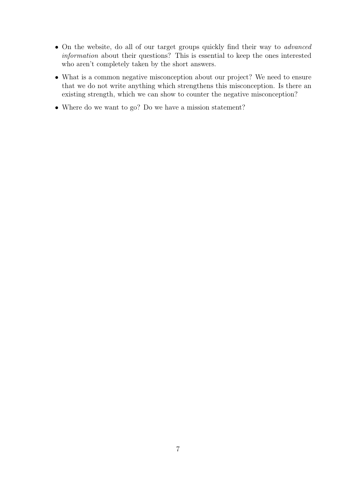- On the website, do all of our target groups quickly find their way to *advanced* information about their questions? This is essential to keep the ones interested who aren't completely taken by the short answers.
- What is a common negative misconception about our project? We need to ensure that we do not write anything which strengthens this misconception. Is there an existing strength, which we can show to counter the negative misconception?
- Where do we want to go? Do we have a mission statement?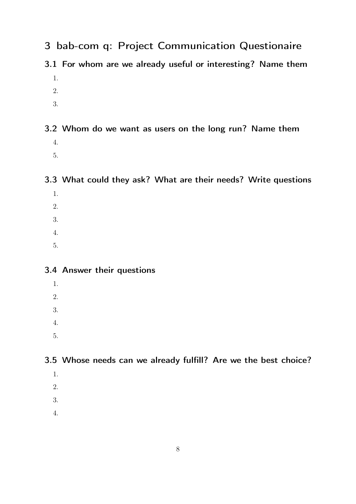- <span id="page-7-0"></span>3 bab-com q: Project Communication Questionaire
- <span id="page-7-1"></span>3.1 For whom are we already useful or interesting? Name them 1.
	- 2.
	- 3.

# <span id="page-7-2"></span>3.2 Whom do we want as users on the long run? Name them 4.

5.

### <span id="page-7-3"></span>3.3 What could they ask? What are their needs? Write questions

- 1.
- 2.
- 3.
- 4.
- 5.

### <span id="page-7-4"></span>3.4 Answer their questions

- 1.
- 2.
- 
- 3.
- 4.
- 5.

### <span id="page-7-5"></span>3.5 Whose needs can we already fulfill? Are we the best choice?

- 1.
- 2.
- 3.
- 4.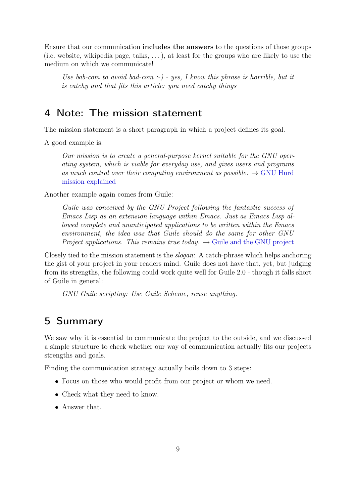Ensure that our communication includes the answers to the questions of those groups (i.e. website, wikipedia page, talks,  $\dots$ ), at least for the groups who are likely to use the medium on which we communicate!

Use bab-com to avoid bad-com :-) - yes, I know this phrase is horrible, but it is catchy and that fits this article: you need catchy things

### <span id="page-8-0"></span>4 Note: The mission statement

The mission statement is a short paragraph in which a project defines its goal.

A good example is:

Our mission is to create a general-purpose kernel suitable for the GNU operating system, which is viable for everyday use, and gives users and programs as much control over their computing environment as possible.  $\rightarrow$  [GNU Hurd](http://www.gnu.org/software/hurd/community/weblogs/antrik/hurd-mission-statement.html) [mission explained](http://www.gnu.org/software/hurd/community/weblogs/antrik/hurd-mission-statement.html)

Another example again comes from Guile:

Guile was conceived by the GNU Project following the fantastic success of Emacs Lisp as an extension language within Emacs. Just as Emacs Lisp allowed complete and unanticipated applications to be written within the Emacs environment, the idea was that Guile should do the same for other GNU Project applications. This remains true today.  $\rightarrow$  [Guile and the GNU project](http://www.gnu.org/software/guile/manual/html_node/Guile-and-the-GNU-Project.html)

Closely tied to the mission statement is the slogan: A catch-phrase which helps anchoring the gist of your project in your readers mind. Guile does not have that, yet, but judging from its strengths, the following could work quite well for Guile 2.0 - though it falls short of Guile in general:

GNU Guile scripting: Use Guile Scheme, reuse anything.

# <span id="page-8-1"></span>5 Summary

We saw why it is essential to communicate the project to the outside, and we discussed a simple structure to check whether our way of communication actually fits our projects strengths and goals.

Finding the communication strategy actually boils down to 3 steps:

- Focus on those who would profit from our project or whom we need.
- Check what they need to know.
- Answer that.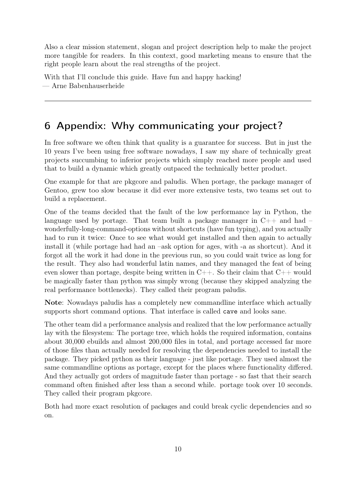Also a clear mission statement, slogan and project description help to make the project more tangible for readers. In this context, good marketing means to ensure that the right people learn about the real strengths of the project.

With that I'll conclude this guide. Have fun and happy hacking! — Arne Babenhauserheide

# <span id="page-9-0"></span>6 Appendix: Why communicating your project?

In free software we often think that quality is a guarantee for success. But in just the 10 years I've been using free software nowadays, I saw my share of technically great projects succumbing to inferior projects which simply reached more people and used that to build a dynamic which greatly outpaced the technically better product.

One example for that are pkgcore and paludis. When portage, the package manager of Gentoo, grew too slow because it did ever more extensive tests, two teams set out to build a replacement.

One of the teams decided that the fault of the low performance lay in Python, the language used by portage. That team built a package manager in C++ and had – wonderfully-long-command-options without shortcuts (have fun typing), and you actually had to run it twice: Once to see what would get installed and then again to actually install it (while portage had had an –ask option for ages, with -a as shortcut). And it forgot all the work it had done in the previous run, so you could wait twice as long for the result. They also had wonderful latin names, and they managed the feat of being even slower than portage, despite being written in  $C_{++}$ . So their claim that  $C_{++}$  would be magically faster than python was simply wrong (because they skipped analyzing the real performance bottlenecks). They called their program paludis.

Note: Nowadays paludis has a completely new commandline interface which actually supports short command options. That interface is called cave and looks sane.

The other team did a performance analysis and realized that the low performance actually lay with the filesystem: The portage tree, which holds the required information, contains about 30,000 ebuilds and almost 200,000 files in total, and portage accessed far more of those files than actually needed for resolving the dependencies needed to install the package. They picked python as their language - just like portage. They used almost the same commandline options as portage, except for the places where functionality differed. And they actually got orders of magnitude faster than portage - so fast that their search command often finished after less than a second while. portage took over 10 seconds. They called their program pkgcore.

Both had more exact resolution of packages and could break cyclic dependencies and so on.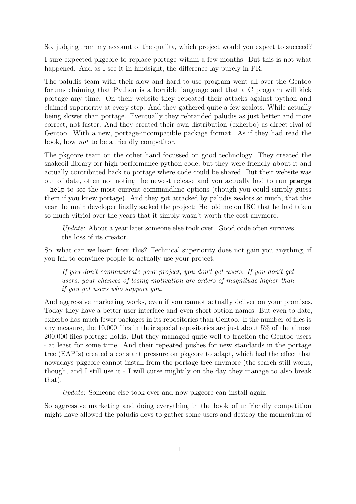So, judging from my account of the quality, which project would you expect to succeed?

I sure expected pkgcore to replace portage within a few months. But this is not what happened. And as I see it in hindsight, the difference lay purely in PR.

The paludis team with their slow and hard-to-use program went all over the Gentoo forums claiming that Python is a horrible language and that a C program will kick portage any time. On their website they repeated their attacks against python and claimed superiority at every step. And they gathered quite a few zealots. While actually being slower than portage. Eventually they rebranded paludis as just better and more correct, not faster. And they created their own distribution (exherbo) as direct rival of Gentoo. With a new, portage-incompatible package format. As if they had read the book, how not to be a friendly competitor.

The pkgcore team on the other hand focussed on good technology. They created the snakeoil library for high-performance python code, but they were friendly about it and actually contributed back to portage where code could be shared. But their website was out of date, often not noting the newest release and you actually had to run pmerge --help to see the most current commandline options (though you could simply guess them if you knew portage). And they got attacked by paludis zealots so much, that this year the main developer finally sacked the project: He told me on IRC that he had taken so much vitriol over the years that it simply wasn't worth the cost anymore.

Update: About a year later someone else took over. Good code often survives the loss of its creator.

So, what can we learn from this? Technical superiority does not gain you anything, if you fail to convince people to actually use your project.

If you don't communicate your project, you don't get users. If you don't get users, your chances of losing motivation are orders of magnitude higher than if you get users who support you.

And aggressive marketing works, even if you cannot actually deliver on your promises. Today they have a better user-interface and even short option-names. But even to date, exherbo has much fewer packages in its repositories than Gentoo. If the number of files is any measure, the 10,000 files in their special repositories are just about 5% of the almost 200,000 files portage holds. But they managed quite well to fraction the Gentoo users - at least for some time. And their repeated pushes for new standards in the portage tree (EAPIs) created a constant pressure on pkgcore to adapt, which had the effect that nowadays pkgcore cannot install from the portage tree anymore (the search still works, though, and I still use it - I will curse mightily on the day they manage to also break that).

Update: Someone else took over and now pkgcore can install again.

So aggressive marketing and doing everything in the book of unfriendly competition might have allowed the paludis devs to gather some users and destroy the momentum of